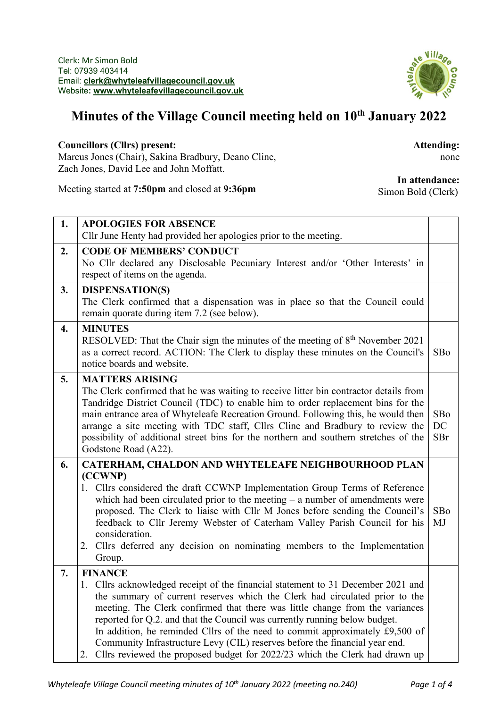

## **Minutes of the Village Council meeting held on 10th January 2022**

## **Councillors (Cllrs) present:**

Marcus Jones (Chair), Sakina Bradbury, Deano Cline, Zach Jones, David Lee and John Moffatt.

**Attending:** none

Meeting started at **7:50pm** and closed at **9:36pm**

## **In attendance:**

Simon Bold (Clerk)

| 1. | <b>APOLOGIES FOR ABSENCE</b>                                                                                                                                                                                                                                                                                                                                                                                                                                                                                                                                                                        |                  |  |  |
|----|-----------------------------------------------------------------------------------------------------------------------------------------------------------------------------------------------------------------------------------------------------------------------------------------------------------------------------------------------------------------------------------------------------------------------------------------------------------------------------------------------------------------------------------------------------------------------------------------------------|------------------|--|--|
|    | Cllr June Henty had provided her apologies prior to the meeting.                                                                                                                                                                                                                                                                                                                                                                                                                                                                                                                                    |                  |  |  |
| 2. | <b>CODE OF MEMBERS' CONDUCT</b><br>No Cllr declared any Disclosable Pecuniary Interest and/or 'Other Interests' in<br>respect of items on the agenda.                                                                                                                                                                                                                                                                                                                                                                                                                                               |                  |  |  |
| 3. | <b>DISPENSATION(S)</b><br>The Clerk confirmed that a dispensation was in place so that the Council could<br>remain quorate during item 7.2 (see below).                                                                                                                                                                                                                                                                                                                                                                                                                                             |                  |  |  |
| 4. | <b>MINUTES</b><br>RESOLVED: That the Chair sign the minutes of the meeting of 8 <sup>th</sup> November 2021<br>as a correct record. ACTION: The Clerk to display these minutes on the Council's<br>notice boards and website.                                                                                                                                                                                                                                                                                                                                                                       | SBo              |  |  |
| 5. | <b>MATTERS ARISING</b><br>The Clerk confirmed that he was waiting to receive litter bin contractor details from<br>Tandridge District Council (TDC) to enable him to order replacement bins for the<br>main entrance area of Whyteleafe Recreation Ground. Following this, he would then<br>arrange a site meeting with TDC staff, Cllrs Cline and Bradbury to review the<br>possibility of additional street bins for the northern and southern stretches of the<br>Godstone Road (A22).                                                                                                           | SBo<br>DC<br>SBr |  |  |
| 6. | CATERHAM, CHALDON AND WHYTELEAFE NEIGHBOURHOOD PLAN<br>(CCWNP)<br>1. Cllrs considered the draft CCWNP Implementation Group Terms of Reference<br>which had been circulated prior to the meeting $-$ a number of amendments were<br>proposed. The Clerk to liaise with Cllr M Jones before sending the Council's<br>feedback to Cllr Jeremy Webster of Caterham Valley Parish Council for his<br>consideration.<br>2. Cllrs deferred any decision on nominating members to the Implementation<br>Group.                                                                                              | SBo<br>MJ        |  |  |
| 7. | <b>FINANCE</b><br>1. Cllrs acknowledged receipt of the financial statement to 31 December 2021 and<br>the summary of current reserves which the Clerk had circulated prior to the<br>meeting. The Clerk confirmed that there was little change from the variances<br>reported for Q.2. and that the Council was currently running below budget.<br>In addition, he reminded Cllrs of the need to commit approximately £9,500 of<br>Community Infrastructure Levy (CIL) reserves before the financial year end.<br>Cllrs reviewed the proposed budget for 2022/23 which the Clerk had drawn up<br>2. |                  |  |  |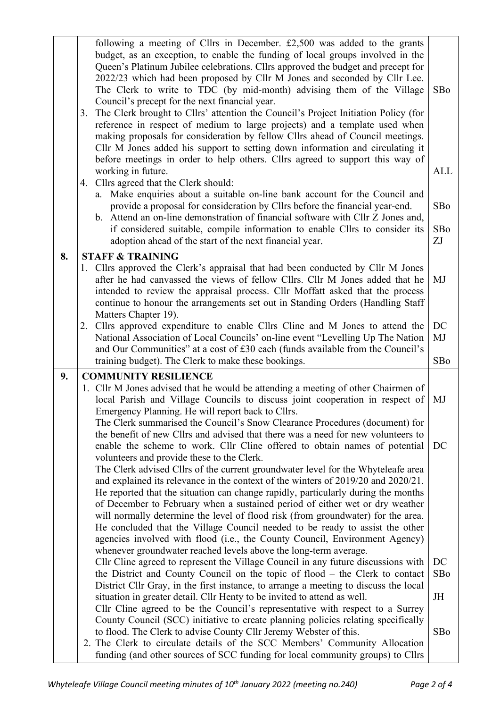|    | following a meeting of Cllrs in December. $£2,500$ was added to the grants<br>budget, as an exception, to enable the funding of local groups involved in the<br>Queen's Platinum Jubilee celebrations. Cllrs approved the budget and precept for<br>2022/23 which had been proposed by Cllr M Jones and seconded by Cllr Lee.<br>The Clerk to write to TDC (by mid-month) advising them of the Village<br>Council's precept for the next financial year.<br>The Clerk brought to Cllrs' attention the Council's Project Initiation Policy (for<br>3.<br>reference in respect of medium to large projects) and a template used when<br>making proposals for consideration by fellow Cllrs ahead of Council meetings.<br>Cllr M Jones added his support to setting down information and circulating it<br>before meetings in order to help others. Cllrs agreed to support this way of<br>working in future.<br>4. Cllrs agreed that the Clerk should:<br>Make enquiries about a suitable on-line bank account for the Council and<br>a.<br>provide a proposal for consideration by Cllrs before the financial year-end.<br>b. Attend an on-line demonstration of financial software with Cllr Z Jones and,<br>if considered suitable, compile information to enable Cllrs to consider its<br>adoption ahead of the start of the next financial year. | SBo<br>ALL<br>SBo<br>SBo<br>ZJ |
|----|-----------------------------------------------------------------------------------------------------------------------------------------------------------------------------------------------------------------------------------------------------------------------------------------------------------------------------------------------------------------------------------------------------------------------------------------------------------------------------------------------------------------------------------------------------------------------------------------------------------------------------------------------------------------------------------------------------------------------------------------------------------------------------------------------------------------------------------------------------------------------------------------------------------------------------------------------------------------------------------------------------------------------------------------------------------------------------------------------------------------------------------------------------------------------------------------------------------------------------------------------------------------------------------------------------------------------------------------------------|--------------------------------|
| 8. | <b>STAFF &amp; TRAINING</b>                                                                                                                                                                                                                                                                                                                                                                                                                                                                                                                                                                                                                                                                                                                                                                                                                                                                                                                                                                                                                                                                                                                                                                                                                                                                                                                         |                                |
|    | 1. Cllrs approved the Clerk's appraisal that had been conducted by Cllr M Jones<br>after he had canvassed the views of fellow Cllrs. Cllr M Jones added that he<br>intended to review the appraisal process. Cllr Moffatt asked that the process<br>continue to honour the arrangements set out in Standing Orders (Handling Staff<br>Matters Chapter 19).                                                                                                                                                                                                                                                                                                                                                                                                                                                                                                                                                                                                                                                                                                                                                                                                                                                                                                                                                                                          | MJ                             |
|    | Cllrs approved expenditure to enable Cllrs Cline and M Jones to attend the<br>2.<br>National Association of Local Councils' on-line event "Levelling Up The Nation<br>and Our Communities" at a cost of £30 each (funds available from the Council's                                                                                                                                                                                                                                                                                                                                                                                                                                                                                                                                                                                                                                                                                                                                                                                                                                                                                                                                                                                                                                                                                                | DC<br>MJ                       |
|    | training budget). The Clerk to make these bookings.                                                                                                                                                                                                                                                                                                                                                                                                                                                                                                                                                                                                                                                                                                                                                                                                                                                                                                                                                                                                                                                                                                                                                                                                                                                                                                 | SBo                            |
| 9. | <b>COMMUNITY RESILIENCE</b>                                                                                                                                                                                                                                                                                                                                                                                                                                                                                                                                                                                                                                                                                                                                                                                                                                                                                                                                                                                                                                                                                                                                                                                                                                                                                                                         |                                |
|    |                                                                                                                                                                                                                                                                                                                                                                                                                                                                                                                                                                                                                                                                                                                                                                                                                                                                                                                                                                                                                                                                                                                                                                                                                                                                                                                                                     |                                |
|    | 1. Cllr M Jones advised that he would be attending a meeting of other Chairmen of<br>local Parish and Village Councils to discuss joint cooperation in respect of<br>Emergency Planning. He will report back to Cllrs.                                                                                                                                                                                                                                                                                                                                                                                                                                                                                                                                                                                                                                                                                                                                                                                                                                                                                                                                                                                                                                                                                                                              | MJ                             |
|    | The Clerk summarised the Council's Snow Clearance Procedures (document) for<br>the benefit of new Cllrs and advised that there was a need for new volunteers to<br>enable the scheme to work. Cllr Cline offered to obtain names of potential<br>volunteers and provide these to the Clerk.                                                                                                                                                                                                                                                                                                                                                                                                                                                                                                                                                                                                                                                                                                                                                                                                                                                                                                                                                                                                                                                         | DC                             |
|    | The Clerk advised Cllrs of the current groundwater level for the Whyteleafe area<br>and explained its relevance in the context of the winters of 2019/20 and 2020/21.<br>He reported that the situation can change rapidly, particularly during the months<br>of December to February when a sustained period of either wet or dry weather<br>will normally determine the level of flood risk (from groundwater) for the area.<br>He concluded that the Village Council needed to be ready to assist the other<br>agencies involved with flood (i.e., the County Council, Environment Agency)<br>whenever groundwater reached levels above the long-term average.                                                                                                                                                                                                                                                                                                                                                                                                                                                                                                                                                                                                                                                                                   |                                |
|    | Cllr Cline agreed to represent the Village Council in any future discussions with<br>the District and County Council on the topic of flood – the Clerk to contact<br>District Cllr Gray, in the first instance, to arrange a meeting to discuss the local                                                                                                                                                                                                                                                                                                                                                                                                                                                                                                                                                                                                                                                                                                                                                                                                                                                                                                                                                                                                                                                                                           | DC<br>SBo                      |
|    | situation in greater detail. Cllr Henty to be invited to attend as well.<br>Cllr Cline agreed to be the Council's representative with respect to a Surrey                                                                                                                                                                                                                                                                                                                                                                                                                                                                                                                                                                                                                                                                                                                                                                                                                                                                                                                                                                                                                                                                                                                                                                                           | JH                             |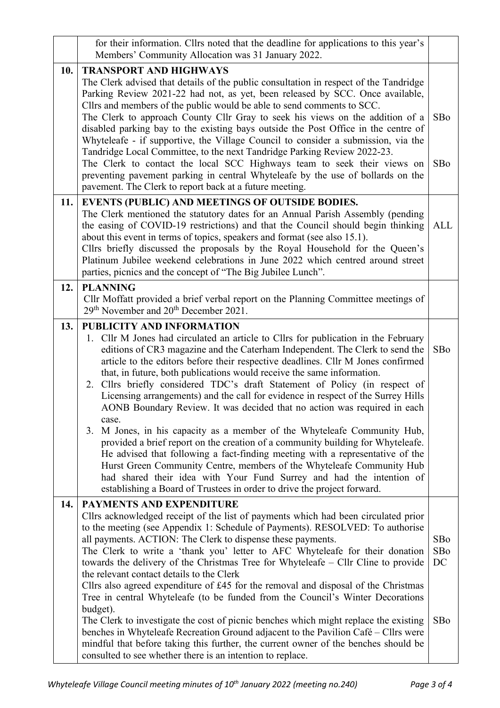|     | for their information. Cllrs noted that the deadline for applications to this year's<br>Members' Community Allocation was 31 January 2022.                                                                                                                                                                                                                                                                                                                                                                                                                                                                                                                                                                                                                                                                                                                                                                                                                                                                                                                                                       |                         |  |  |  |  |
|-----|--------------------------------------------------------------------------------------------------------------------------------------------------------------------------------------------------------------------------------------------------------------------------------------------------------------------------------------------------------------------------------------------------------------------------------------------------------------------------------------------------------------------------------------------------------------------------------------------------------------------------------------------------------------------------------------------------------------------------------------------------------------------------------------------------------------------------------------------------------------------------------------------------------------------------------------------------------------------------------------------------------------------------------------------------------------------------------------------------|-------------------------|--|--|--|--|
| 10. | <b>TRANSPORT AND HIGHWAYS</b><br>The Clerk advised that details of the public consultation in respect of the Tandridge<br>Parking Review 2021-22 had not, as yet, been released by SCC. Once available,<br>Cllrs and members of the public would be able to send comments to SCC.<br>The Clerk to approach County Cllr Gray to seek his views on the addition of a<br>disabled parking bay to the existing bays outside the Post Office in the centre of<br>Whyteleafe - if supportive, the Village Council to consider a submission, via the<br>Tandridge Local Committee, to the next Tandridge Parking Review 2022-23.<br>The Clerk to contact the local SCC Highways team to seek their views on<br>preventing pavement parking in central Whyteleafe by the use of bollards on the<br>pavement. The Clerk to report back at a future meeting.                                                                                                                                                                                                                                               |                         |  |  |  |  |
| 11. | EVENTS (PUBLIC) AND MEETINGS OF OUTSIDE BODIES.<br>The Clerk mentioned the statutory dates for an Annual Parish Assembly (pending<br>the easing of COVID-19 restrictions) and that the Council should begin thinking<br>about this event in terms of topics, speakers and format (see also 15.1).<br>Cllrs briefly discussed the proposals by the Royal Household for the Queen's<br>Platinum Jubilee weekend celebrations in June 2022 which centred around street<br>parties, picnics and the concept of "The Big Jubilee Lunch".                                                                                                                                                                                                                                                                                                                                                                                                                                                                                                                                                              | <b>ALL</b>              |  |  |  |  |
| 12. | <b>PLANNING</b><br>Cllr Moffatt provided a brief verbal report on the Planning Committee meetings of<br>29 <sup>th</sup> November and 20 <sup>th</sup> December 2021.                                                                                                                                                                                                                                                                                                                                                                                                                                                                                                                                                                                                                                                                                                                                                                                                                                                                                                                            |                         |  |  |  |  |
| 13. | PUBLICITY AND INFORMATION<br>1. Cllr M Jones had circulated an article to Cllrs for publication in the February<br>editions of CR3 magazine and the Caterham Independent. The Clerk to send the<br>article to the editors before their respective deadlines. Cllr M Jones confirmed<br>that, in future, both publications would receive the same information.<br>2. Cllrs briefly considered TDC's draft Statement of Policy (in respect of<br>Licensing arrangements) and the call for evidence in respect of the Surrey Hills<br>AONB Boundary Review. It was decided that no action was required in each<br>case.<br>3. M Jones, in his capacity as a member of the Whyteleafe Community Hub,<br>provided a brief report on the creation of a community building for Whyteleafe.<br>He advised that following a fact-finding meeting with a representative of the<br>Hurst Green Community Centre, members of the Whyteleafe Community Hub<br>had shared their idea with Your Fund Surrey and had the intention of<br>establishing a Board of Trustees in order to drive the project forward. | SBo                     |  |  |  |  |
| 14. | <b>PAYMENTS AND EXPENDITURE</b><br>Cllrs acknowledged receipt of the list of payments which had been circulated prior<br>to the meeting (see Appendix 1: Schedule of Payments). RESOLVED: To authorise<br>all payments. ACTION: The Clerk to dispense these payments.<br>The Clerk to write a 'thank you' letter to AFC Whyteleafe for their donation<br>towards the delivery of the Christmas Tree for Whyteleafe – Cllr Cline to provide<br>the relevant contact details to the Clerk<br>Cllrs also agreed expenditure of £45 for the removal and disposal of the Christmas<br>Tree in central Whyteleafe (to be funded from the Council's Winter Decorations<br>budget).<br>The Clerk to investigate the cost of picnic benches which might replace the existing<br>benches in Whyteleafe Recreation Ground adjacent to the Pavilion Café - Cllrs were<br>mindful that before taking this further, the current owner of the benches should be<br>consulted to see whether there is an intention to replace.                                                                                   | SBo<br>SBo<br>DC<br>SBo |  |  |  |  |